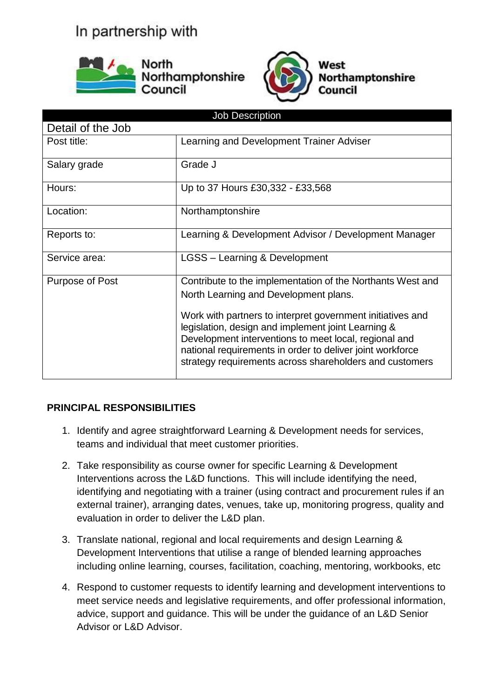## In partnership with





West **Northamptonshire** Council

| <b>Job Description</b> |                                                                                                                                                                                                                                                                                                                                                                                                          |  |  |
|------------------------|----------------------------------------------------------------------------------------------------------------------------------------------------------------------------------------------------------------------------------------------------------------------------------------------------------------------------------------------------------------------------------------------------------|--|--|
| Detail of the Job      |                                                                                                                                                                                                                                                                                                                                                                                                          |  |  |
| Post title:            | Learning and Development Trainer Adviser                                                                                                                                                                                                                                                                                                                                                                 |  |  |
| Salary grade           | Grade J                                                                                                                                                                                                                                                                                                                                                                                                  |  |  |
| Hours:                 | Up to 37 Hours £30,332 - £33,568                                                                                                                                                                                                                                                                                                                                                                         |  |  |
| Location:              | Northamptonshire                                                                                                                                                                                                                                                                                                                                                                                         |  |  |
| Reports to:            | Learning & Development Advisor / Development Manager                                                                                                                                                                                                                                                                                                                                                     |  |  |
| Service area:          | LGSS - Learning & Development                                                                                                                                                                                                                                                                                                                                                                            |  |  |
| Purpose of Post        | Contribute to the implementation of the Northants West and<br>North Learning and Development plans.<br>Work with partners to interpret government initiatives and<br>legislation, design and implement joint Learning &<br>Development interventions to meet local, regional and<br>national requirements in order to deliver joint workforce<br>strategy requirements across shareholders and customers |  |  |

## **PRINCIPAL RESPONSIBILITIES**

- 1. Identify and agree straightforward Learning & Development needs for services, teams and individual that meet customer priorities.
- 2. Take responsibility as course owner for specific Learning & Development Interventions across the L&D functions. This will include identifying the need, identifying and negotiating with a trainer (using contract and procurement rules if an external trainer), arranging dates, venues, take up, monitoring progress, quality and evaluation in order to deliver the L&D plan.
- 3. Translate national, regional and local requirements and design Learning & Development Interventions that utilise a range of blended learning approaches including online learning, courses, facilitation, coaching, mentoring, workbooks, etc
- 4. Respond to customer requests to identify learning and development interventions to meet service needs and legislative requirements, and offer professional information, advice, support and guidance. This will be under the guidance of an L&D Senior Advisor or L&D Advisor.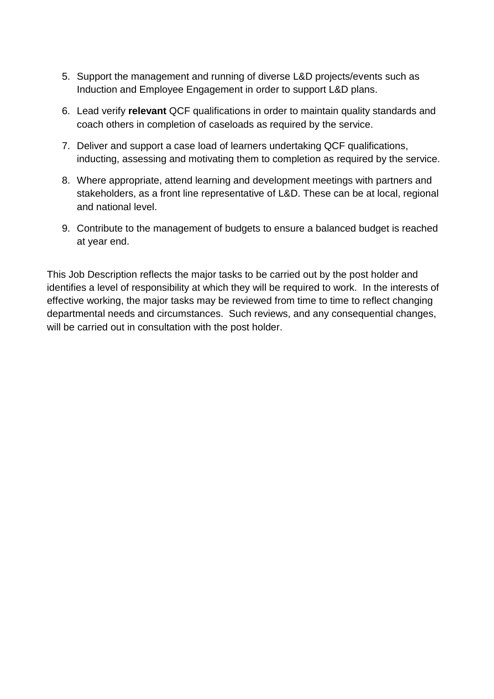- 5. Support the management and running of diverse L&D projects/events such as Induction and Employee Engagement in order to support L&D plans.
- 6. Lead verify **relevant** QCF qualifications in order to maintain quality standards and coach others in completion of caseloads as required by the service.
- 7. Deliver and support a case load of learners undertaking QCF qualifications, inducting, assessing and motivating them to completion as required by the service.
- 8. Where appropriate, attend learning and development meetings with partners and stakeholders, as a front line representative of L&D. These can be at local, regional and national level.
- 9. Contribute to the management of budgets to ensure a balanced budget is reached at year end.

This Job Description reflects the major tasks to be carried out by the post holder and identifies a level of responsibility at which they will be required to work. In the interests of effective working, the major tasks may be reviewed from time to time to reflect changing departmental needs and circumstances. Such reviews, and any consequential changes, will be carried out in consultation with the post holder.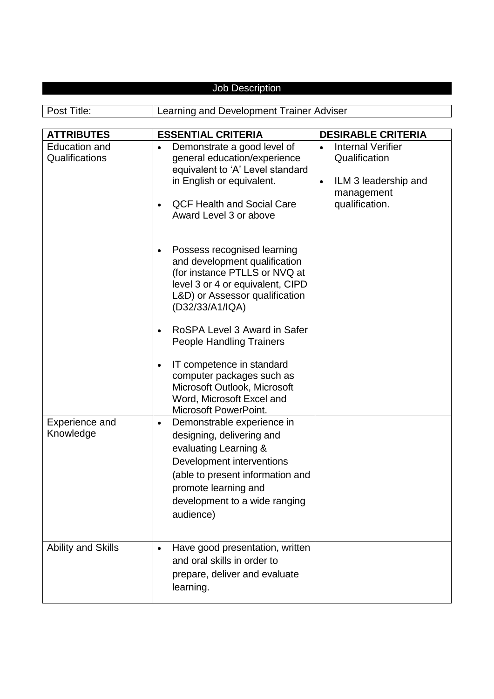| <b>Job Description</b>                                      |                                                                                                                                                                                                                                                                                                                                                                                                                                 |                                                                                                                                                          |  |
|-------------------------------------------------------------|---------------------------------------------------------------------------------------------------------------------------------------------------------------------------------------------------------------------------------------------------------------------------------------------------------------------------------------------------------------------------------------------------------------------------------|----------------------------------------------------------------------------------------------------------------------------------------------------------|--|
|                                                             |                                                                                                                                                                                                                                                                                                                                                                                                                                 |                                                                                                                                                          |  |
| Post Title:                                                 | Learning and Development Trainer Adviser                                                                                                                                                                                                                                                                                                                                                                                        |                                                                                                                                                          |  |
|                                                             |                                                                                                                                                                                                                                                                                                                                                                                                                                 |                                                                                                                                                          |  |
| <b>ATTRIBUTES</b><br><b>Education and</b><br>Qualifications | <b>ESSENTIAL CRITERIA</b><br>Demonstrate a good level of<br>general education/experience<br>equivalent to 'A' Level standard<br>in English or equivalent.<br><b>QCF Health and Social Care</b><br>Award Level 3 or above<br>Possess recognised learning<br>$\bullet$<br>and development qualification<br>(for instance PTLLS or NVQ at<br>level 3 or 4 or equivalent, CIPD<br>L&D) or Assessor qualification<br>(D32/33/A1/IQA) | <b>DESIRABLE CRITERIA</b><br><b>Internal Verifier</b><br>$\bullet$<br>Qualification<br>ILM 3 leadership and<br>$\bullet$<br>management<br>qualification. |  |
|                                                             | RoSPA Level 3 Award in Safer<br>$\bullet$<br><b>People Handling Trainers</b><br>IT competence in standard<br>$\bullet$<br>computer packages such as<br>Microsoft Outlook, Microsoft<br>Word, Microsoft Excel and<br><b>Microsoft PowerPoint.</b>                                                                                                                                                                                |                                                                                                                                                          |  |
| <b>Experience and</b><br>Knowledge                          | Demonstrable experience in<br>$\bullet$<br>designing, delivering and<br>evaluating Learning &<br>Development interventions<br>(able to present information and<br>promote learning and<br>development to a wide ranging<br>audience)                                                                                                                                                                                            |                                                                                                                                                          |  |
| <b>Ability and Skills</b>                                   | Have good presentation, written<br>$\bullet$<br>and oral skills in order to<br>prepare, deliver and evaluate<br>learning.                                                                                                                                                                                                                                                                                                       |                                                                                                                                                          |  |